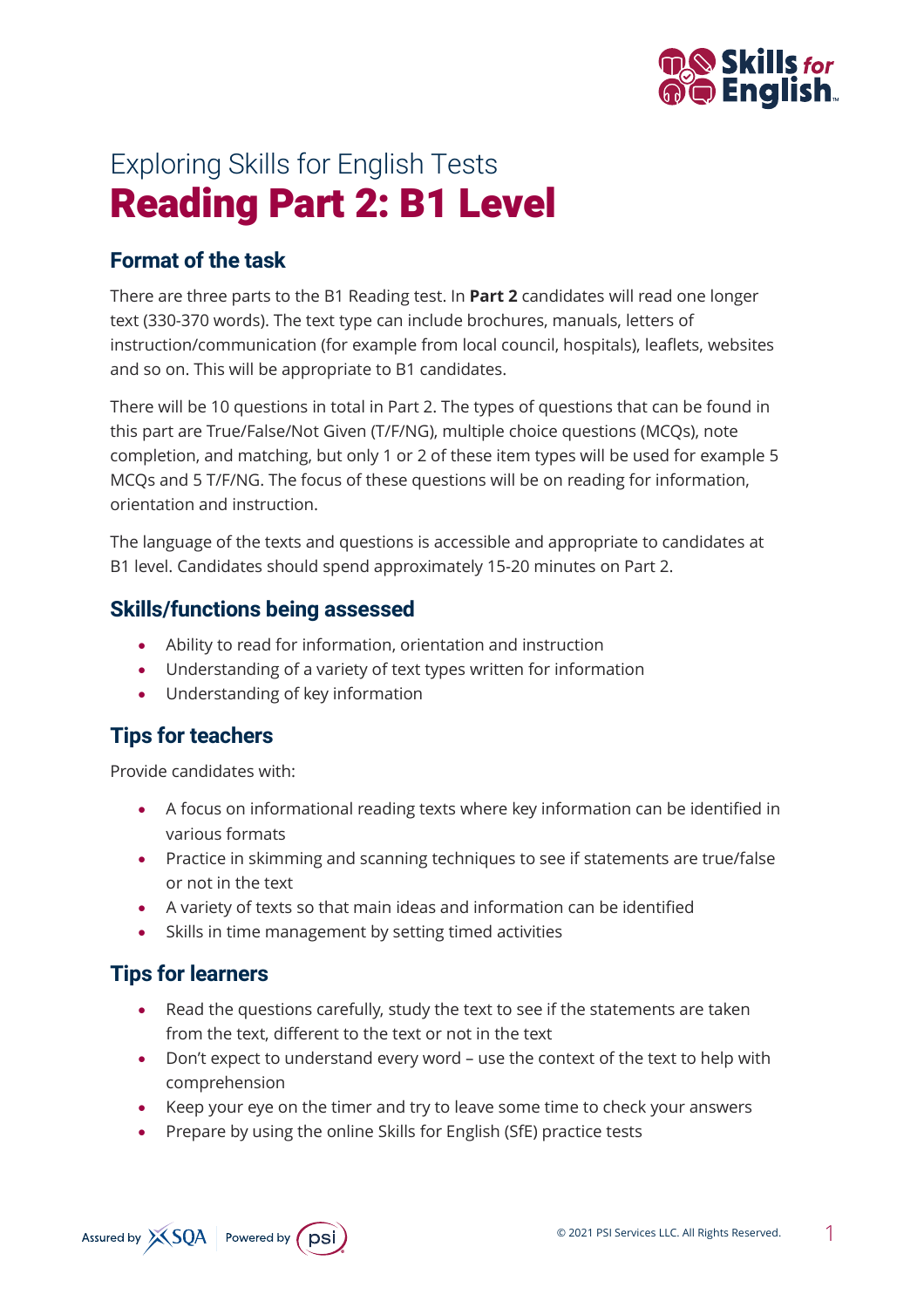

# Exploring Skills for English Tests Reading Part 2: B1 Level

## **Format of the task**

There are three parts to the B1 Reading test. In **Part 2** candidates will read one longer text (330-370 words). The text type can include brochures, manuals, letters of instruction/communication (for example from local council, hospitals), leaflets, websites and so on. This will be appropriate to B1 candidates.

There will be 10 questions in total in Part 2. The types of questions that can be found in this part are True/False/Not Given (T/F/NG), multiple choice questions (MCQs), note completion, and matching, but only 1 or 2 of these item types will be used for example 5 MCQs and 5 T/F/NG. The focus of these questions will be on reading for information, orientation and instruction.

The language of the texts and questions is accessible and appropriate to candidates at B1 level. Candidates should spend approximately 15-20 minutes on Part 2.

#### **Skills/functions being assessed**

- Ability to read for information, orientation and instruction
- Understanding of a variety of text types written for information
- Understanding of key information

### **Tips for teachers**

Provide candidates with:

- A focus on informational reading texts where key information can be identified in various formats
- Practice in skimming and scanning techniques to see if statements are true/false or not in the text
- A variety of texts so that main ideas and information can be identified
- Skills in time management by setting timed activities

## **Tips for learners**

- Read the questions carefully, study the text to see if the statements are taken from the text, different to the text or not in the text
- Don't expect to understand every word use the context of the text to help with comprehension
- Keep your eye on the timer and try to leave some time to check your answers
- Prepare by using the online Skills for English (SfE) practice tests